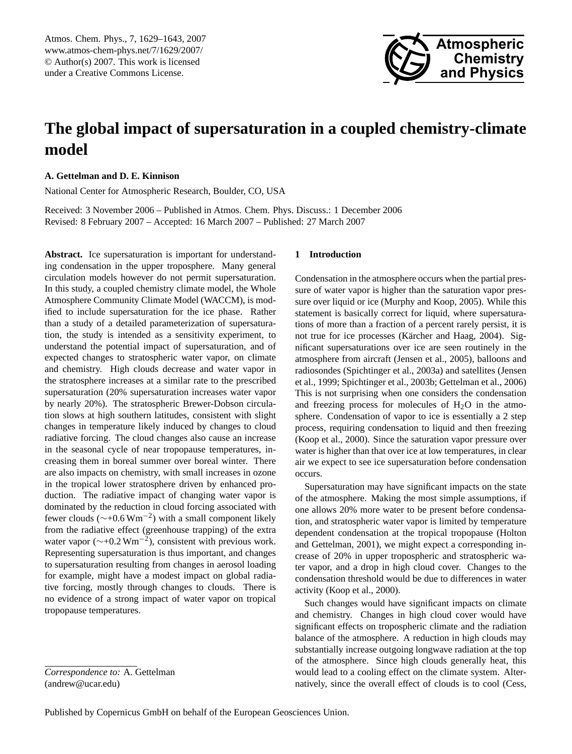<span id="page-0-0"></span>Atmos. Chem. Phys., 7, 1629–1643, 2007 www.atmos-chem-phys.net/7/1629/2007/ © Author(s) 2007. This work is licensed under a Creative Commons License.



# **The global impact of supersaturation in a coupled chemistry-climate model**

# **A. Gettelman and D. E. Kinnison**

National Center for Atmospheric Research, Boulder, CO, USA

Received: 3 November 2006 – Published in Atmos. Chem. Phys. Discuss.: 1 December 2006 Revised: 8 February 2007 – Accepted: 16 March 2007 – Published: 27 March 2007

**Abstract.** Ice supersaturation is important for understanding condensation in the upper troposphere. Many general circulation models however do not permit supersaturation. In this study, a coupled chemistry climate model, the Whole Atmosphere Community Climate Model (WACCM), is modified to include supersaturation for the ice phase. Rather than a study of a detailed parameterization of supersaturation, the study is intended as a sensitivity experiment, to understand the potential impact of supersaturation, and of expected changes to stratospheric water vapor, on climate and chemistry. High clouds decrease and water vapor in the stratosphere increases at a similar rate to the prescribed supersaturation (20% supersaturation increases water vapor by nearly 20%). The stratospheric Brewer-Dobson circulation slows at high southern latitudes, consistent with slight changes in temperature likely induced by changes to cloud radiative forcing. The cloud changes also cause an increase in the seasonal cycle of near tropopause temperatures, increasing them in boreal summer over boreal winter. There are also impacts on chemistry, with small increases in ozone in the tropical lower stratosphere driven by enhanced production. The radiative impact of changing water vapor is dominated by the reduction in cloud forcing associated with fewer clouds ( $\sim$ +0.6 Wm<sup>-2</sup>) with a small component likely from the radiative effect (greenhouse trapping) of the extra water vapor ( $\sim$ +0.2 Wm<sup>-2</sup>), consistent with previous work. Representing supersaturation is thus important, and changes to supersaturation resulting from changes in aerosol loading for example, might have a modest impact on global radiative forcing, mostly through changes to clouds. There is no evidence of a strong impact of water vapor on tropical tropopause temperatures.

## **1 Introduction**

Condensation in the atmosphere occurs when the partial pressure of water vapor is higher than the saturation vapor pressure over liquid or ice [\(Murphy and Koop,](#page-14-0) [2005\)](#page-14-0). While this statement is basically correct for liquid, where supersaturations of more than a fraction of a percent rarely persist, it is not true for ice processes (Kärcher and Haag, [2004\)](#page-14-1). Significant supersaturations over ice are seen routinely in the atmosphere from aircraft [\(Jensen et al.,](#page-13-0) [2005\)](#page-13-0), balloons and radiosondes [\(Spichtinger et al.,](#page-14-2) [2003a\)](#page-14-2) and satellites [\(Jensen](#page-13-1) [et al.,](#page-13-1) [1999;](#page-13-1) [Spichtinger et al.,](#page-14-3) [2003b;](#page-14-3) [Gettelman et al.,](#page-13-2) [2006\)](#page-13-2) This is not surprising when one considers the condensation and freezing process for molecules of  $H<sub>2</sub>O$  in the atmosphere. Condensation of vapor to ice is essentially a 2 step process, requiring condensation to liquid and then freezing [\(Koop et al.,](#page-14-4) [2000\)](#page-14-4). Since the saturation vapor pressure over water is higher than that over ice at low temperatures, in clear air we expect to see ice supersaturation before condensation occurs.

Supersaturation may have significant impacts on the state of the atmosphere. Making the most simple assumptions, if one allows 20% more water to be present before condensation, and stratospheric water vapor is limited by temperature dependent condensation at the tropical tropopause [\(Holton](#page-13-3) [and Gettelman,](#page-13-3) [2001\)](#page-13-3), we might expect a corresponding increase of 20% in upper tropospheric and stratospheric water vapor, and a drop in high cloud cover. Changes to the condensation threshold would be due to differences in water activity [\(Koop et al.,](#page-14-4) [2000\)](#page-14-4).

Such changes would have significant impacts on climate and chemistry. Changes in high cloud cover would have significant effects on tropospheric climate and the radiation balance of the atmosphere. A reduction in high clouds may substantially increase outgoing longwave radiation at the top of the atmosphere. Since high clouds generally heat, this would lead to a cooling effect on the climate system. Alternatively, since the overall effect of clouds is to cool [\(Cess,](#page-13-4)

*Correspondence to:* A. Gettelman (andrew@ucar.edu)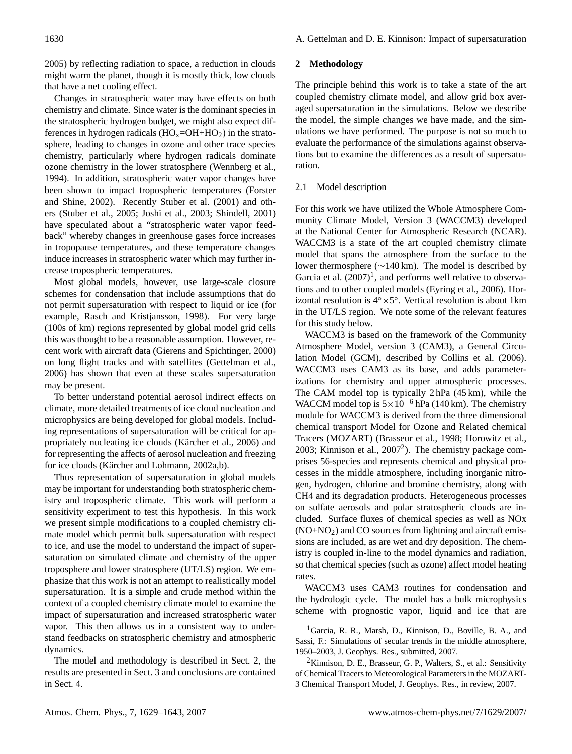[2005\)](#page-13-4) by reflecting radiation to space, a reduction in clouds might warm the planet, though it is mostly thick, low clouds that have a net cooling effect.

Changes in stratospheric water may have effects on both chemistry and climate. Since water is the dominant species in the stratospheric hydrogen budget, we might also expect differences in hydrogen radicals  $(HO_x=OH+HO_2)$  in the stratosphere, leading to changes in ozone and other trace species chemistry, particularly where hydrogen radicals dominate ozone chemistry in the lower stratosphere [\(Wennberg et al.,](#page-14-5) [1994\)](#page-14-5). In addition, stratospheric water vapor changes have been shown to impact tropospheric temperatures [\(Forster](#page-13-5) [and Shine,](#page-13-5) [2002\)](#page-13-5). Recently [Stuber et al.](#page-14-6) [\(2001\)](#page-14-6) and others [\(Stuber et al.,](#page-14-7) [2005;](#page-14-7) [Joshi et al.,](#page-14-8) [2003;](#page-14-8) [Shindell,](#page-14-9) [2001\)](#page-14-9) have speculated about a "stratospheric water vapor feedback" whereby changes in greenhouse gases force increases in tropopause temperatures, and these temperature changes induce increases in stratospheric water which may further increase tropospheric temperatures.

Most global models, however, use large-scale closure schemes for condensation that include assumptions that do not permit supersaturation with respect to liquid or ice (for example, [Rasch and Kristjansson,](#page-14-10) [1998\)](#page-14-10). For very large (100s of km) regions represented by global model grid cells this was thought to be a reasonable assumption. However, recent work with aircraft data [\(Gierens and Spichtinger,](#page-13-6) [2000\)](#page-13-6) on long flight tracks and with satellites [\(Gettelman et al.,](#page-13-2) [2006\)](#page-13-2) has shown that even at these scales supersaturation may be present.

To better understand potential aerosol indirect effects on climate, more detailed treatments of ice cloud nucleation and microphysics are being developed for global models. Including representations of supersaturation will be critical for ap-propriately nucleating ice clouds (Kärcher et al., [2006\)](#page-14-11) and for representing the affects of aerosol nucleation and freezing for ice clouds (Kärcher and Lohmann, [2002a](#page-14-12)[,b\)](#page-14-13).

Thus representation of supersaturation in global models may be important for understanding both stratospheric chemistry and tropospheric climate. This work will perform a sensitivity experiment to test this hypothesis. In this work we present simple modifications to a coupled chemistry climate model which permit bulk supersaturation with respect to ice, and use the model to understand the impact of supersaturation on simulated climate and chemistry of the upper troposphere and lower stratosphere (UT/LS) region. We emphasize that this work is not an attempt to realistically model supersaturation. It is a simple and crude method within the context of a coupled chemistry climate model to examine the impact of supersaturation and increased stratospheric water vapor. This then allows us in a consistent way to understand feedbacks on stratospheric chemistry and atmospheric dynamics.

The model and methodology is described in Sect. [2,](#page-1-0) the results are presented in Sect. [3](#page-3-0) and conclusions are contained in Sect. [4.](#page-10-0)

## <span id="page-1-0"></span>**2 Methodology**

The principle behind this work is to take a state of the art coupled chemistry climate model, and allow grid box averaged supersaturation in the simulations. Below we describe the model, the simple changes we have made, and the simulations we have performed. The purpose is not so much to evaluate the performance of the simulations against observations but to examine the differences as a result of supersaturation.

## 2.1 Model description

For this work we have utilized the Whole Atmosphere Community Climate Model, Version 3 (WACCM3) developed at the National Center for Atmospheric Research (NCAR). WACCM3 is a state of the art coupled chemistry climate model that spans the atmosphere from the surface to the lower thermosphere (∼140 km). The model is described by Garcia et al.  $(2007)^1$  $(2007)^1$ , and performs well relative to observations and to other coupled models [\(Eyring et al.,](#page-13-7) [2006\)](#page-13-7). Horizontal resolution is  $4° \times 5°$ . Vertical resolution is about 1km in the UT/LS region. We note some of the relevant features for this study below.

WACCM3 is based on the framework of the Community Atmosphere Model, version 3 (CAM3), a General Circulation Model (GCM), described by [Collins et al.](#page-13-8) [\(2006\)](#page-13-8). WACCM3 uses CAM3 as its base, and adds parameterizations for chemistry and upper atmospheric processes. The CAM model top is typically 2 hPa (45 km), while the WACCM model top is  $5 \times 10^{-6}$  hPa (140 km). The chemistry module for WACCM3 is derived from the three dimensional chemical transport Model for Ozone and Related chemical Tracers (MOZART) [\(Brasseur et al.,](#page-13-9) [1998;](#page-13-9) [Horowitz et al.,](#page-13-10) [2003;](#page-13-10) Kinnison et al.,  $2007<sup>2</sup>$  $2007<sup>2</sup>$ ). The chemistry package comprises 56-species and represents chemical and physical processes in the middle atmosphere, including inorganic nitrogen, hydrogen, chlorine and bromine chemistry, along with CH4 and its degradation products. Heterogeneous processes on sulfate aerosols and polar stratospheric clouds are included. Surface fluxes of chemical species as well as NOx  $(NO+NO<sub>2</sub>)$  and CO sources from lightning and aircraft emissions are included, as are wet and dry deposition. The chemistry is coupled in-line to the model dynamics and radiation, so that chemical species (such as ozone) affect model heating rates.

WACCM3 uses CAM3 routines for condensation and the hydrologic cycle. The model has a bulk microphysics scheme with prognostic vapor, liquid and ice that are

<span id="page-1-1"></span><sup>&</sup>lt;sup>1</sup>Garcia, R. R., Marsh, D., Kinnison, D., Boville, B. A., and Sassi, F.: Simulations of secular trends in the middle atmosphere, 1950–2003, J. Geophys. Res., submitted, 2007.

<span id="page-1-2"></span> $2$ Kinnison, D. E., Brasseur, G. P., Walters, S., et al.: Sensitivity of Chemical Tracers to Meteorological Parameters in the MOZART-3 Chemical Transport Model, J. Geophys. Res., in review, 2007.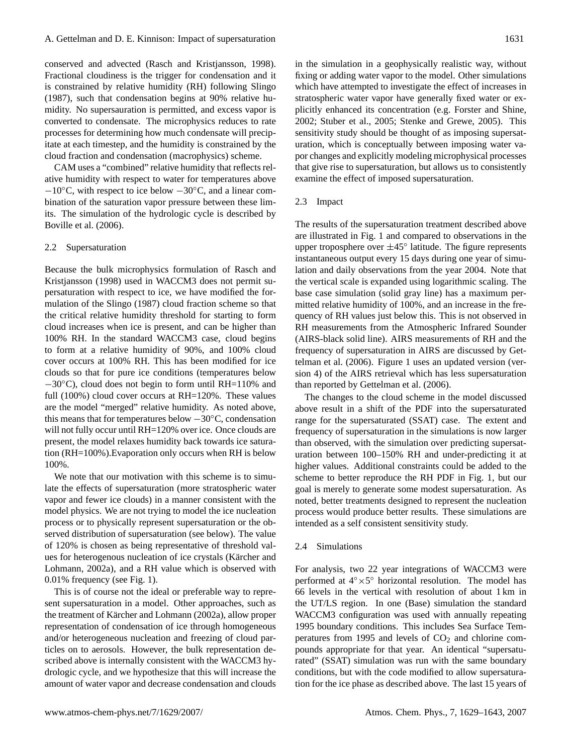conserved and advected [\(Rasch and Kristjansson,](#page-14-10) [1998\)](#page-14-10). Fractional cloudiness is the trigger for condensation and it is constrained by relative humidity (RH) following [Slingo](#page-14-14) [\(1987\)](#page-14-14), such that condensation begins at 90% relative humidity. No supersauration is permitted, and excess vapor is converted to condensate. The microphysics reduces to rate processes for determining how much condensate will precipitate at each timestep, and the humidity is constrained by the cloud fraction and condensation (macrophysics) scheme.

CAM uses a "combined" relative humidity that reflects relative humidity with respect to water for temperatures above −10◦C, with respect to ice below −30◦C, and a linear combination of the saturation vapor pressure between these limits. The simulation of the hydrologic cycle is described by [Boville et al.](#page-13-11) [\(2006\)](#page-13-11).

#### 2.2 Supersaturation

Because the bulk microphysics formulation of [Rasch and](#page-14-10) [Kristjansson](#page-14-10) [\(1998\)](#page-14-10) used in WACCM3 does not permit supersaturation with respect to ice, we have modified the formulation of the [Slingo](#page-14-14) [\(1987\)](#page-14-14) cloud fraction scheme so that the critical relative humidity threshold for starting to form cloud increases when ice is present, and can be higher than 100% RH. In the standard WACCM3 case, cloud begins to form at a relative humidity of 90%, and 100% cloud cover occurs at 100% RH. This has been modified for ice clouds so that for pure ice conditions (temperatures below −30◦C), cloud does not begin to form until RH=110% and full (100%) cloud cover occurs at RH=120%. These values are the model "merged" relative humidity. As noted above, this means that for temperatures below −30◦C, condensation will not fully occur until RH=120% over ice. Once clouds are present, the model relaxes humidity back towards ice saturation (RH=100%).Evaporation only occurs when RH is below 100%.

We note that our motivation with this scheme is to simulate the effects of supersaturation (more stratospheric water vapor and fewer ice clouds) in a manner consistent with the model physics. We are not trying to model the ice nucleation process or to physically represent supersaturation or the observed distribution of supersaturation (see below). The value of 120% is chosen as being representative of threshold values for heterogenous nucleation of ice crystals (Kärcher and [Lohmann,](#page-14-12) [2002a\)](#page-14-12), and a RH value which is observed with 0.01% frequency (see Fig. [1\)](#page-3-1).

This is of course not the ideal or preferable way to represent supersaturation in a model. Other approaches, such as the treatment of Kärcher and Lohmann [\(2002a\)](#page-14-12), allow proper representation of condensation of ice through homogeneous and/or heterogeneous nucleation and freezing of cloud particles on to aerosols. However, the bulk representation described above is internally consistent with the WACCM3 hydrologic cycle, and we hypothesize that this will increase the amount of water vapor and decrease condensation and clouds in the simulation in a geophysically realistic way, without fixing or adding water vapor to the model. Other simulations which have attempted to investigate the effect of increases in stratospheric water vapor have generally fixed water or explicitly enhanced its concentration (e.g. [Forster and Shine,](#page-13-5) [2002;](#page-13-5) [Stuber et al.,](#page-14-7) [2005;](#page-14-7) [Stenke and Grewe,](#page-14-15) [2005\)](#page-14-15). This sensitivity study should be thought of as imposing supersaturation, which is conceptually between imposing water vapor changes and explicitly modeling microphysical processes that give rise to supersaturation, but allows us to consistently examine the effect of imposed supersaturation.

#### 2.3 Impact

The results of the supersaturation treatment described above are illustrated in Fig. [1](#page-3-1) and compared to observations in the upper troposphere over ±45◦ latitude. The figure represents instantaneous output every 15 days during one year of simulation and daily observations from the year 2004. Note that the vertical scale is expanded using logarithmic scaling. The base case simulation (solid gray line) has a maximum permitted relative humidity of 100%, and an increase in the frequency of RH values just below this. This is not observed in RH measurements from the Atmospheric Infrared Sounder (AIRS-black solid line). AIRS measurements of RH and the frequency of supersaturation in AIRS are discussed by [Get](#page-13-2)[telman et al.](#page-13-2) [\(2006\)](#page-13-2). Figure [1](#page-3-1) uses an updated version (version 4) of the AIRS retrieval which has less supersaturation than reported by [Gettelman et al.](#page-13-2) [\(2006\)](#page-13-2).

The changes to the cloud scheme in the model discussed above result in a shift of the PDF into the supersaturated range for the supersaturated (SSAT) case. The extent and frequency of supersaturation in the simulations is now larger than observed, with the simulation over predicting supersaturation between 100–150% RH and under-predicting it at higher values. Additional constraints could be added to the scheme to better reproduce the RH PDF in Fig. [1,](#page-3-1) but our goal is merely to generate some modest supersaturation. As noted, better treatments designed to represent the nucleation process would produce better results. These simulations are intended as a self consistent sensitivity study.

# 2.4 Simulations

For analysis, two 22 year integrations of WACCM3 were performed at 4° × 5° horizontal resolution. The model has 66 levels in the vertical with resolution of about 1 km in the UT/LS region. In one (Base) simulation the standard WACCM3 configuration was used with annually repeating 1995 boundary conditions. This includes Sea Surface Temperatures from 1995 and levels of  $CO<sub>2</sub>$  and chlorine compounds appropriate for that year. An identical "supersaturated" (SSAT) simulation was run with the same boundary conditions, but with the code modified to allow supersaturation for the ice phase as described above. The last 15 years of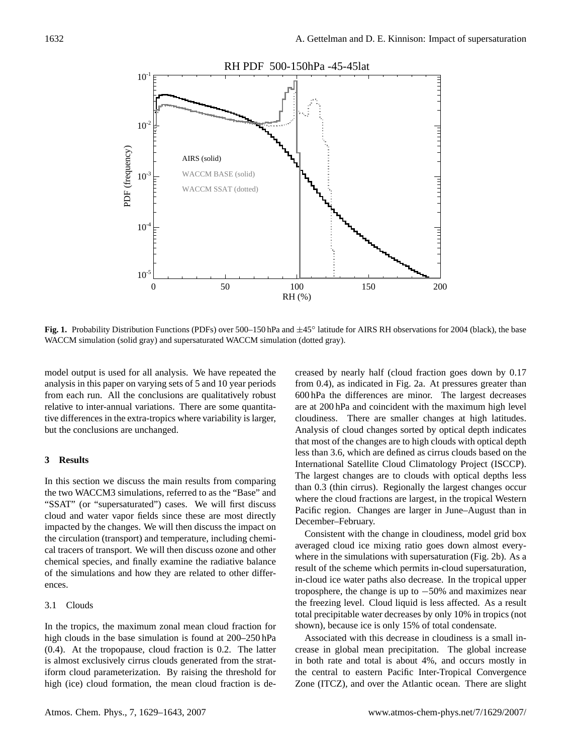

<span id="page-3-1"></span>Fig. 1. Probability Distribution Functions (PDFs) over 500–150 hPa and ±45<sup>°</sup> latitude for AIRS RH observations for 2004 (black), the base WACCM simulation (solid gray) and supersaturated WACCM simulation (dotted gray).

model output is used for all analysis. We have repeated the analysis in this paper on varying sets of 5 and 10 year periods from each run. All the conclusions are qualitatively robust relative to inter-annual variations. There are some quantitative differences in the extra-tropics where variability is larger, but the conclusions are unchanged.

# <span id="page-3-0"></span>**3 Results**

In this section we discuss the main results from comparing the two WACCM3 simulations, referred to as the "Base" and "SSAT" (or "supersaturated") cases. We will first discuss cloud and water vapor fields since these are most directly impacted by the changes. We will then discuss the impact on the circulation (transport) and temperature, including chemical tracers of transport. We will then discuss ozone and other chemical species, and finally examine the radiative balance of the simulations and how they are related to other differences.

# 3.1 Clouds

In the tropics, the maximum zonal mean cloud fraction for high clouds in the base simulation is found at  $200-250$  hPa (0.4). At the tropopause, cloud fraction is 0.2. The latter is almost exclusively cirrus clouds generated from the stratiform cloud parameterization. By raising the threshold for high (ice) cloud formation, the mean cloud fraction is decreased by nearly half (cloud fraction goes down by 0.17 from 0.4), as indicated in Fig. [2a](#page-4-0). At pressures greater than 600 hPa the differences are minor. The largest decreases are at 200 hPa and coincident with the maximum high level cloudiness. There are smaller changes at high latitudes. Analysis of cloud changes sorted by optical depth indicates that most of the changes are to high clouds with optical depth less than 3.6, which are defined as cirrus clouds based on the International Satellite Cloud Climatology Project (ISCCP). The largest changes are to clouds with optical depths less than 0.3 (thin cirrus). Regionally the largest changes occur where the cloud fractions are largest, in the tropical Western Pacific region. Changes are larger in June–August than in December–February.

Consistent with the change in cloudiness, model grid box averaged cloud ice mixing ratio goes down almost everywhere in the simulations with supersaturation (Fig. [2b](#page-4-0)). As a result of the scheme which permits in-cloud supersaturation, in-cloud ice water paths also decrease. In the tropical upper troposphere, the change is up to −50% and maximizes near the freezing level. Cloud liquid is less affected. As a result total precipitable water decreases by only 10% in tropics (not shown), because ice is only 15% of total condensate.

Associated with this decrease in cloudiness is a small increase in global mean precipitation. The global increase in both rate and total is about 4%, and occurs mostly in the central to eastern Pacific Inter-Tropical Convergence Zone (ITCZ), and over the Atlantic ocean. There are slight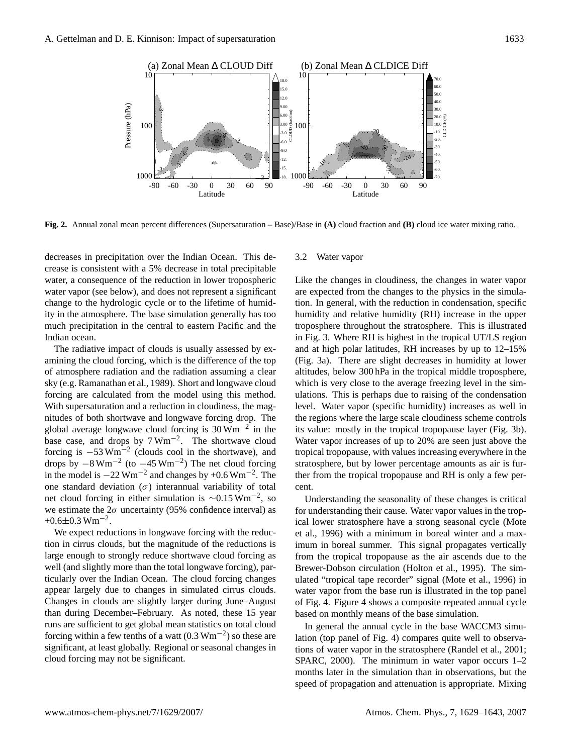

<span id="page-4-0"></span>**Fig. 2.** Annual zonal mean percent differences (Supersaturation – Base)/Base in **(A)** cloud fraction and **(B)** cloud ice water mixing ratio.

decreases in precipitation over the Indian Ocean. This decrease is consistent with a 5% decrease in total precipitable water, a consequence of the reduction in lower tropospheric water vapor (see below), and does not represent a significant change to the hydrologic cycle or to the lifetime of humidity in the atmosphere. The base simulation generally has too much precipitation in the central to eastern Pacific and the Indian ocean.

The radiative impact of clouds is usually assessed by examining the cloud forcing, which is the difference of the top of atmosphere radiation and the radiation assuming a clear sky (e.g. [Ramanathan et al.,](#page-14-16) [1989\)](#page-14-16). Short and longwave cloud forcing are calculated from the model using this method. With supersaturation and a reduction in cloudiness, the magnitudes of both shortwave and longwave forcing drop. The global average longwave cloud forcing is  $30 \,\text{Wm}^{-2}$  in the base case, and drops by  $7 \text{ Wm}^{-2}$ . The shortwave cloud forcing is  $-53 \text{ Wm}^{-2}$  (clouds cool in the shortwave), and drops by  $-8 \text{ Wm}^{-2}$  (to  $-45 \text{ Wm}^{-2}$ ) The net cloud forcing in the model is  $-22$  Wm<sup>-2</sup> and changes by +0.6 Wm<sup>-2</sup>. The one standard deviation  $(\sigma)$  interannual variability of total net cloud forcing in either simulation is  $\sim 0.15 \text{ Wm}^{-2}$ , so we estimate the  $2\sigma$  uncertainty (95% confidence interval) as  $+0.6 \pm 0.3$  Wm<sup>-2</sup>.

We expect reductions in longwave forcing with the reduction in cirrus clouds, but the magnitude of the reductions is large enough to strongly reduce shortwave cloud forcing as well (and slightly more than the total longwave forcing), particularly over the Indian Ocean. The cloud forcing changes appear largely due to changes in simulated cirrus clouds. Changes in clouds are slightly larger during June–August than during December–February. As noted, these 15 year runs are sufficient to get global mean statistics on total cloud forcing within a few tenths of a watt  $(0.3 \text{ Wm}^{-2})$  so these are significant, at least globally. Regional or seasonal changes in cloud forcing may not be significant.

# 3.2 Water vapor

Like the changes in cloudiness, the changes in water vapor are expected from the changes to the physics in the simulation. In general, with the reduction in condensation, specific humidity and relative humidity (RH) increase in the upper troposphere throughout the stratosphere. This is illustrated in Fig. [3.](#page-5-0) Where RH is highest in the tropical UT/LS region and at high polar latitudes, RH increases by up to 12–15% (Fig. [3a](#page-5-0)). There are slight decreases in humidity at lower altitudes, below 300 hPa in the tropical middle troposphere, which is very close to the average freezing level in the simulations. This is perhaps due to raising of the condensation level. Water vapor (specific humidity) increases as well in the regions where the large scale cloudiness scheme controls its value: mostly in the tropical tropopause layer (Fig. [3b](#page-5-0)). Water vapor increases of up to 20% are seen just above the tropical tropopause, with values increasing everywhere in the stratosphere, but by lower percentage amounts as air is further from the tropical tropopause and RH is only a few percent.

Understanding the seasonality of these changes is critical for understanding their cause. Water vapor values in the tropical lower stratosphere have a strong seasonal cycle [\(Mote](#page-14-17) [et al.,](#page-14-17) [1996\)](#page-14-17) with a minimum in boreal winter and a maximum in boreal summer. This signal propagates vertically from the tropical tropopause as the air ascends due to the Brewer-Dobson circulation [\(Holton et al.,](#page-13-12) [1995\)](#page-13-12). The simulated "tropical tape recorder" signal [\(Mote et al.,](#page-14-17) [1996\)](#page-14-17) in water vapor from the base run is illustrated in the top panel of Fig. [4.](#page-6-0) Figure [4](#page-6-0) shows a composite repeated annual cycle based on monthly means of the base simulation.

In general the annual cycle in the base WACCM3 simulation (top panel of Fig. [4\)](#page-6-0) compares quite well to observations of water vapor in the stratosphere [\(Randel et al.,](#page-14-18) [2001;](#page-14-18) [SPARC,](#page-14-19) [2000\)](#page-14-19). The minimum in water vapor occurs 1–2 months later in the simulation than in observations, but the speed of propagation and attenuation is appropriate. Mixing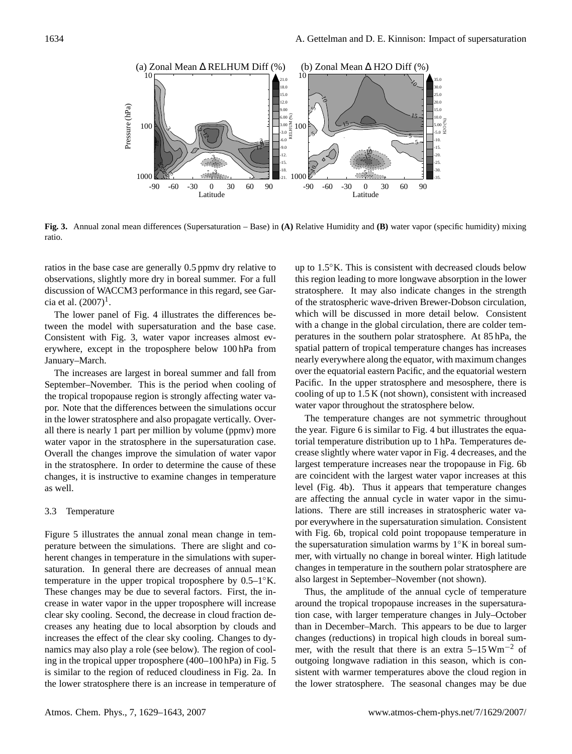

<span id="page-5-0"></span>**Fig. 3.** Annual zonal mean differences (Supersaturation – Base) in **(A)** Relative Humidity and **(B)** water vapor (specific humidity) mixing ratio.

ratios in the base case are generally 0.5 ppmv dry relative to observations, slightly more dry in boreal summer. For a full discussion of WACCM3 performance in this regard, see Garcia et al.  $(2007)^{1}$  $(2007)^{1}$  $(2007)^{1}$ .

The lower panel of Fig. [4](#page-6-0) illustrates the differences between the model with supersaturation and the base case. Consistent with Fig. [3,](#page-5-0) water vapor increases almost everywhere, except in the troposphere below 100 hPa from January–March.

The increases are largest in boreal summer and fall from September–November. This is the period when cooling of the tropical tropopause region is strongly affecting water vapor. Note that the differences between the simulations occur in the lower stratosphere and also propagate vertically. Overall there is nearly 1 part per million by volume (ppmv) more water vapor in the stratosphere in the supersaturation case. Overall the changes improve the simulation of water vapor in the stratosphere. In order to determine the cause of these changes, it is instructive to examine changes in temperature as well.

## 3.3 Temperature

Figure [5](#page-6-1) illustrates the annual zonal mean change in temperature between the simulations. There are slight and coherent changes in temperature in the simulations with supersaturation. In general there are decreases of annual mean temperature in the upper tropical troposphere by  $0.5-1°K$ . These changes may be due to several factors. First, the increase in water vapor in the upper troposphere will increase clear sky cooling. Second, the decrease in cloud fraction decreases any heating due to local absorption by clouds and increases the effect of the clear sky cooling. Changes to dynamics may also play a role (see below). The region of cooling in the tropical upper troposphere (400–100 hPa) in Fig. [5](#page-6-1) is similar to the region of reduced cloudiness in Fig. [2a](#page-4-0). In the lower stratosphere there is an increase in temperature of up to 1.5◦K. This is consistent with decreased clouds below this region leading to more longwave absorption in the lower stratosphere. It may also indicate changes in the strength of the stratospheric wave-driven Brewer-Dobson circulation, which will be discussed in more detail below. Consistent with a change in the global circulation, there are colder temperatures in the southern polar stratosphere. At 85 hPa, the spatial pattern of tropical temperature changes has increases nearly everywhere along the equator, with maximum changes over the equatorial eastern Pacific, and the equatorial western Pacific. In the upper stratosphere and mesosphere, there is cooling of up to 1.5 K (not shown), consistent with increased water vapor throughout the stratosphere below.

The temperature changes are not symmetric throughout the year. Figure [6](#page-7-0) is similar to Fig. [4](#page-6-0) but illustrates the equatorial temperature distribution up to 1 hPa. Temperatures decrease slightly where water vapor in Fig. [4](#page-6-0) decreases, and the largest temperature increases near the tropopause in Fig. [6b](#page-7-0) are coincident with the largest water vapor increases at this level (Fig. [4b](#page-6-0)). Thus it appears that temperature changes are affecting the annual cycle in water vapor in the simulations. There are still increases in stratospheric water vapor everywhere in the supersaturation simulation. Consistent with Fig. [6b](#page-7-0), tropical cold point tropopause temperature in the supersaturation simulation warms by  $1°K$  in boreal summer, with virtually no change in boreal winter. High latitude changes in temperature in the southern polar stratosphere are also largest in September–November (not shown).

Thus, the amplitude of the annual cycle of temperature around the tropical tropopause increases in the supersaturation case, with larger temperature changes in July–October than in December–March. This appears to be due to larger changes (reductions) in tropical high clouds in boreal summer, with the result that there is an extra  $5-15 \text{ Wm}^{-2}$  of outgoing longwave radiation in this season, which is consistent with warmer temperatures above the cloud region in the lower stratosphere. The seasonal changes may be due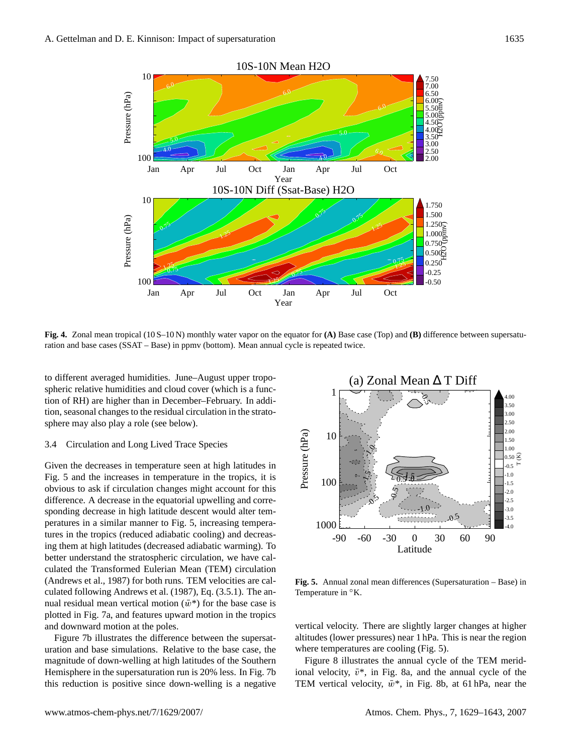

<span id="page-6-0"></span>**Fig. 4.** Zonal mean tropical (10 S–10 N) monthly water vapor on the equator for **(A)** Base case (Top) and **(B)** difference between supersaturation and base cases (SSAT – Base) in ppmv (bottom). Mean annual cycle is repeated twice.

to different averaged humidities. June–August upper tropospheric relative humidities and cloud cover (which is a function of RH) are higher than in December–February. In addition, seasonal changes to the residual circulation in the stratosphere may also play a role (see below).

# 3.4 Circulation and Long Lived Trace Species

Given the decreases in temperature seen at high latitudes in Fig. [5](#page-6-1) and the increases in temperature in the tropics, it is obvious to ask if circulation changes might account for this difference. A decrease in the equatorial upwelling and corresponding decrease in high latitude descent would alter temperatures in a similar manner to Fig. [5,](#page-6-1) increasing temperatures in the tropics (reduced adiabatic cooling) and decreasing them at high latitudes (decreased adiabatic warming). To better understand the stratospheric circulation, we have calculated the Transformed Eulerian Mean (TEM) circulation [\(Andrews et al.,](#page-13-13) [1987\)](#page-13-13) for both runs. TEM velocities are calculated following [Andrews et al.](#page-13-13) [\(1987\)](#page-13-13), Eq. (3.5.1). The annual residual mean vertical motion  $(\bar{w}^*)$  for the base case is plotted in Fig. [7a](#page-7-1), and features upward motion in the tropics and downward motion at the poles.

Figure [7b](#page-7-1) illustrates the difference between the supersaturation and base simulations. Relative to the base case, the magnitude of down-welling at high latitudes of the Southern Hemisphere in the supersaturation run is 20% less. In Fig. [7b](#page-7-1) this reduction is positive since down-welling is a negative



<span id="page-6-1"></span>**Fig. 5.** Annual zonal mean differences (Supersaturation – Base) in Temperature in ◦K.

vertical velocity. There are slightly larger changes at higher altitudes (lower pressures) near 1 hPa. This is near the region where temperatures are cooling (Fig. [5\)](#page-6-1).

Figure [8](#page-8-0) illustrates the annual cycle of the TEM meridional velocity,  $\bar{v}^*$ , in Fig. [8a](#page-8-0), and the annual cycle of the TEM vertical velocity,  $\bar{w}^*$ , in Fig. [8b](#page-8-0), at 61 hPa, near the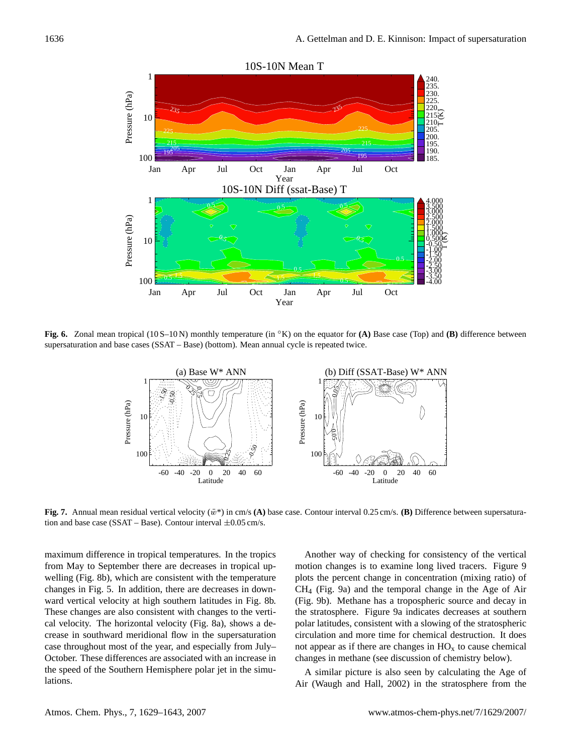

<span id="page-7-0"></span>**Fig. 6.** Zonal mean tropical (10 S–10 N) monthly temperature (in ◦K) on the equator for **(A)** Base case (Top) and **(B)** difference between supersaturation and base cases (SSAT – Base) (bottom). Mean annual cycle is repeated twice.



<span id="page-7-1"></span>**Fig. 7.** Annual mean residual vertical velocity  $(\bar{w}^*)$  in cm/s (A) base case. Contour interval 0.25 cm/s. **(B)** Difference between supersaturation and base case (SSAT – Base). Contour interval  $\pm 0.05$  cm/s.

maximum difference in tropical temperatures. In the tropics from May to September there are decreases in tropical upwelling (Fig. [8b](#page-8-0)), which are consistent with the temperature changes in Fig. [5.](#page-6-1) In addition, there are decreases in downward vertical velocity at high southern latitudes in Fig. [8b](#page-8-0). These changes are also consistent with changes to the vertical velocity. The horizontal velocity (Fig. [8a](#page-8-0)), shows a decrease in southward meridional flow in the supersaturation case throughout most of the year, and especially from July– October. These differences are associated with an increase in the speed of the Southern Hemisphere polar jet in the simulations.

Another way of checking for consistency of the vertical motion changes is to examine long lived tracers. Figure [9](#page-8-1) plots the percent change in concentration (mixing ratio) of CH<sup>4</sup> (Fig. [9a](#page-8-1)) and the temporal change in the Age of Air (Fig. [9b](#page-8-1)). Methane has a tropospheric source and decay in the stratosphere. Figure [9a](#page-8-1) indicates decreases at southern polar latitudes, consistent with a slowing of the stratospheric circulation and more time for chemical destruction. It does not appear as if there are changes in  $HO<sub>x</sub>$  to cause chemical changes in methane (see discussion of chemistry below).

A similar picture is also seen by calculating the Age of Air [\(Waugh and Hall,](#page-14-20) [2002\)](#page-14-20) in the stratosphere from the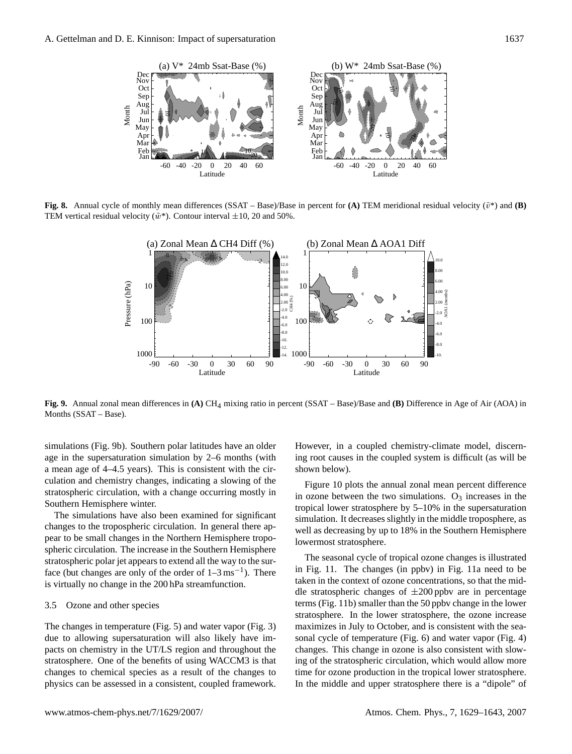

<span id="page-8-0"></span>**Fig. 8.** Annual cycle of monthly mean differences (SSAT – Base)/Base in percent for **(A)** TEM meridional residual velocity  $(\bar{v}^*)$  and **(B)** TEM vertical residual velocity  $(\bar{w}^*)$ . Contour interval  $\pm 10$ , 20 and 50%.



<span id="page-8-1"></span>**Fig. 9.** Annual zonal mean differences in **(A)** CH4 mixing ratio in percent (SSAT – Base)/Base and **(B)** Difference in Age of Air (AOA) in Months (SSAT – Base).

simulations (Fig. [9b](#page-8-1)). Southern polar latitudes have an older age in the supersaturation simulation by 2–6 months (with a mean age of 4–4.5 years). This is consistent with the circulation and chemistry changes, indicating a slowing of the stratospheric circulation, with a change occurring mostly in Southern Hemisphere winter.

The simulations have also been examined for significant changes to the tropospheric circulation. In general there appear to be small changes in the Northern Hemisphere tropospheric circulation. The increase in the Southern Hemisphere stratospheric polar jet appears to extend all the way to the surface (but changes are only of the order of  $1-3 \text{ ms}^{-1}$ ). There is virtually no change in the 200 hPa streamfunction.

## 3.5 Ozone and other species

The changes in temperature (Fig. [5\)](#page-6-1) and water vapor (Fig. [3\)](#page-5-0) due to allowing supersaturation will also likely have impacts on chemistry in the UT/LS region and throughout the stratosphere. One of the benefits of using WACCM3 is that changes to chemical species as a result of the changes to physics can be assessed in a consistent, coupled framework. However, in a coupled chemistry-climate model, discerning root causes in the coupled system is difficult (as will be shown below).

Figure [10](#page-9-0) plots the annual zonal mean percent difference in ozone between the two simulations.  $O_3$  increases in the tropical lower stratosphere by 5–10% in the supersaturation simulation. It decreases slightly in the middle troposphere, as well as decreasing by up to 18% in the Southern Hemisphere lowermost stratosphere.

The seasonal cycle of tropical ozone changes is illustrated in Fig. [11.](#page-10-1) The changes (in ppbv) in Fig. [11a](#page-10-1) need to be taken in the context of ozone concentrations, so that the middle stratospheric changes of  $\pm 200$  ppbv are in percentage terms (Fig. [11b](#page-10-1)) smaller than the 50 ppbv change in the lower stratosphere. In the lower stratosphere, the ozone increase maximizes in July to October, and is consistent with the seasonal cycle of temperature (Fig. [6\)](#page-7-0) and water vapor (Fig. [4\)](#page-6-0) changes. This change in ozone is also consistent with slowing of the stratospheric circulation, which would allow more time for ozone production in the tropical lower stratosphere. In the middle and upper stratosphere there is a "dipole" of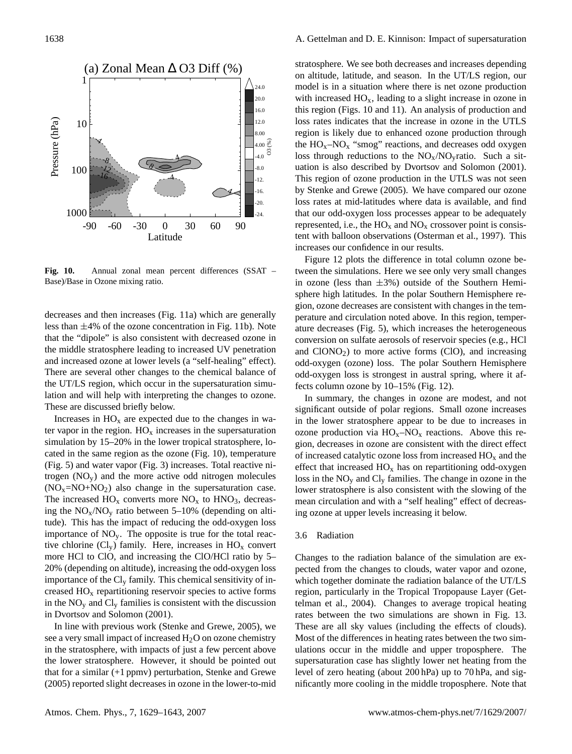

<span id="page-9-0"></span>**Fig. 10.** Annual zonal mean percent differences (SSAT – Base)/Base in Ozone mixing ratio.

decreases and then increases (Fig. [11a](#page-10-1)) which are generally less than  $\pm 4\%$  of the ozone concentration in Fig. [11b](#page-10-1)). Note that the "dipole" is also consistent with decreased ozone in the middle stratosphere leading to increased UV penetration and increased ozone at lower levels (a "self-healing" effect). There are several other changes to the chemical balance of the UT/LS region, which occur in the supersaturation simulation and will help with interpreting the changes to ozone. These are discussed briefly below.

Increases in  $HO_x$  are expected due to the changes in water vapor in the region.  $HO_x$  increases in the supersaturation simulation by 15–20% in the lower tropical stratosphere, located in the same region as the ozone (Fig. [10\)](#page-9-0), temperature (Fig. [5\)](#page-6-1) and water vapor (Fig. [3\)](#page-5-0) increases. Total reactive nitrogen  $(NO<sub>v</sub>)$  and the more active odd nitrogen molecules  $(NO<sub>x</sub>=NO+NO<sub>2</sub>)$  also change in the supersaturation case. The increased  $HO_x$  converts more  $NO_x$  to  $HNO_3$ , decreasing the  $NO<sub>x</sub>/NO<sub>y</sub>$  ratio between 5–10% (depending on altitude). This has the impact of reducing the odd-oxygen loss importance of  $NO<sub>y</sub>$ . The opposite is true for the total reactive chlorine  $(Cl_v)$  family. Here, increases in  $HO_x$  convert more HCl to ClO, and increasing the ClO/HCl ratio by 5– 20% (depending on altitude), increasing the odd-oxygen loss importance of the  $Cl_v$  family. This chemical sensitivity of increased HO<sup>x</sup> repartitioning reservoir species to active forms in the  $NO<sub>v</sub>$  and  $Cl<sub>v</sub>$  families is consistent with the discussion in [Dvortsov and Solomon](#page-13-14) [\(2001\)](#page-13-14).

In line with previous work [\(Stenke and Grewe,](#page-14-15) [2005\)](#page-14-15), we see a very small impact of increased  $H_2O$  on ozone chemistry in the stratosphere, with impacts of just a few percent above the lower stratosphere. However, it should be pointed out that for a similar (+1 ppmv) perturbation, [Stenke and Grewe](#page-14-15) [\(2005\)](#page-14-15) reported slight decreases in ozone in the lower-to-mid stratosphere. We see both decreases and increases depending on altitude, latitude, and season. In the UT/LS region, our model is in a situation where there is net ozone production with increased  $HO_x$ , leading to a slight increase in ozone in this region (Figs. [10](#page-9-0) and [11\)](#page-10-1). An analysis of production and loss rates indicates that the increase in ozone in the UTLS region is likely due to enhanced ozone production through the  $HO_x$ –NO<sub>x</sub> "smog" reactions, and decreases odd oxygen loss through reductions to the  $NO<sub>x</sub>/NO<sub>y</sub>$ ratio. Such a situation is also described by [Dvortsov and Solomon](#page-13-14) [\(2001\)](#page-13-14). This region of ozone production in the UTLS was not seen by [Stenke and Grewe](#page-14-15) [\(2005\)](#page-14-15). We have compared our ozone loss rates at mid-latitudes where data is available, and find that our odd-oxygen loss processes appear to be adequately represented, i.e., the  $HO_x$  and  $NO_x$  crossover point is consistent with balloon observations [\(Osterman et al.,](#page-14-21) [1997\)](#page-14-21). This increases our confidence in our results.

Figure [12](#page-11-0) plots the difference in total column ozone between the simulations. Here we see only very small changes in ozone (less than  $\pm 3\%$ ) outside of the Southern Hemisphere high latitudes. In the polar Southern Hemisphere region, ozone decreases are consistent with changes in the temperature and circulation noted above. In this region, temperature decreases (Fig. [5\)](#page-6-1), which increases the heterogeneous conversion on sulfate aerosols of reservoir species (e.g., HCl and  $ClONO<sub>2</sub>$ ) to more active forms (ClO), and increasing odd-oxygen (ozone) loss. The polar Southern Hemisphere odd-oxygen loss is strongest in austral spring, where it affects column ozone by 10–15% (Fig. [12\)](#page-11-0).

In summary, the changes in ozone are modest, and not significant outside of polar regions. Small ozone increases in the lower stratosphere appear to be due to increases in ozone production via  $HO_x$ -NO<sub>x</sub> reactions. Above this region, decreases in ozone are consistent with the direct effect of increased catalytic ozone loss from increased  $HO_x$  and the effect that increased  $HO_x$  has on repartitioning odd-oxygen loss in the  $NO<sub>y</sub>$  and  $Cl<sub>y</sub>$  families. The change in ozone in the lower stratosphere is also consistent with the slowing of the mean circulation and with a "self healing" effect of decreasing ozone at upper levels increasing it below.

## 3.6 Radiation

Changes to the radiation balance of the simulation are expected from the changes to clouds, water vapor and ozone, which together dominate the radiation balance of the UT/LS region, particularly in the Tropical Tropopause Layer [\(Get](#page-13-15)[telman et al.,](#page-13-15) [2004\)](#page-13-15). Changes to average tropical heating rates between the two simulations are shown in Fig. [13.](#page-12-0) These are all sky values (including the effects of clouds). Most of the differences in heating rates between the two simulations occur in the middle and upper troposphere. The supersaturation case has slightly lower net heating from the level of zero heating (about 200 hPa) up to 70 hPa, and significantly more cooling in the middle troposphere. Note that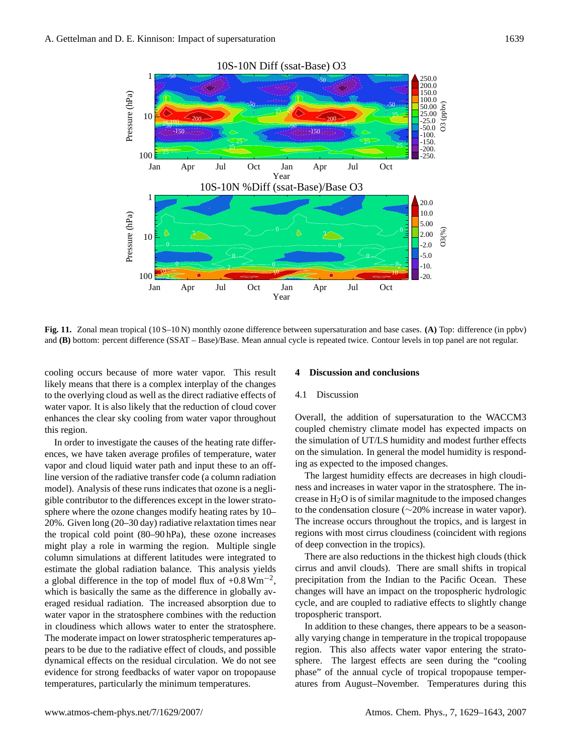

<span id="page-10-1"></span>**Fig. 11.** Zonal mean tropical (10 S–10 N) monthly ozone difference between supersaturation and base cases. **(A)** Top: difference (in ppbv) and **(B)** bottom: percent difference (SSAT – Base)/Base. Mean annual cycle is repeated twice. Contour levels in top panel are not regular.

cooling occurs because of more water vapor. This result likely means that there is a complex interplay of the changes to the overlying cloud as well as the direct radiative effects of water vapor. It is also likely that the reduction of cloud cover enhances the clear sky cooling from water vapor throughout this region.

In order to investigate the causes of the heating rate differences, we have taken average profiles of temperature, water vapor and cloud liquid water path and input these to an offline version of the radiative transfer code (a column radiation model). Analysis of these runs indicates that ozone is a negligible contributor to the differences except in the lower stratosphere where the ozone changes modify heating rates by 10– 20%. Given long (20–30 day) radiative relaxtation times near the tropical cold point (80–90 hPa), these ozone increases might play a role in warming the region. Multiple single column simulations at different latitudes were integrated to estimate the global radiation balance. This analysis yields a global difference in the top of model flux of +0.8  $\text{Wm}^{-2}$ , which is basically the same as the difference in globally averaged residual radiation. The increased absorption due to water vapor in the stratosphere combines with the reduction in cloudiness which allows water to enter the stratosphere. The moderate impact on lower stratospheric temperatures appears to be due to the radiative effect of clouds, and possible dynamical effects on the residual circulation. We do not see evidence for strong feedbacks of water vapor on tropopause temperatures, particularly the minimum temperatures.

## <span id="page-10-0"></span>**4 Discussion and conclusions**

# 4.1 Discussion

Overall, the addition of supersaturation to the WACCM3 coupled chemistry climate model has expected impacts on the simulation of UT/LS humidity and modest further effects on the simulation. In general the model humidity is responding as expected to the imposed changes.

The largest humidity effects are decreases in high cloudiness and increases in water vapor in the stratosphere. The increase in  $H_2O$  is of similar magnitude to the imposed changes to the condensation closure (∼20% increase in water vapor). The increase occurs throughout the tropics, and is largest in regions with most cirrus cloudiness (coincident with regions of deep convection in the tropics).

There are also reductions in the thickest high clouds (thick cirrus and anvil clouds). There are small shifts in tropical precipitation from the Indian to the Pacific Ocean. These changes will have an impact on the tropospheric hydrologic cycle, and are coupled to radiative effects to slightly change tropospheric transport.

In addition to these changes, there appears to be a seasonally varying change in temperature in the tropical tropopause region. This also affects water vapor entering the stratosphere. The largest effects are seen during the "cooling phase" of the annual cycle of tropical tropopause temperatures from August–November. Temperatures during this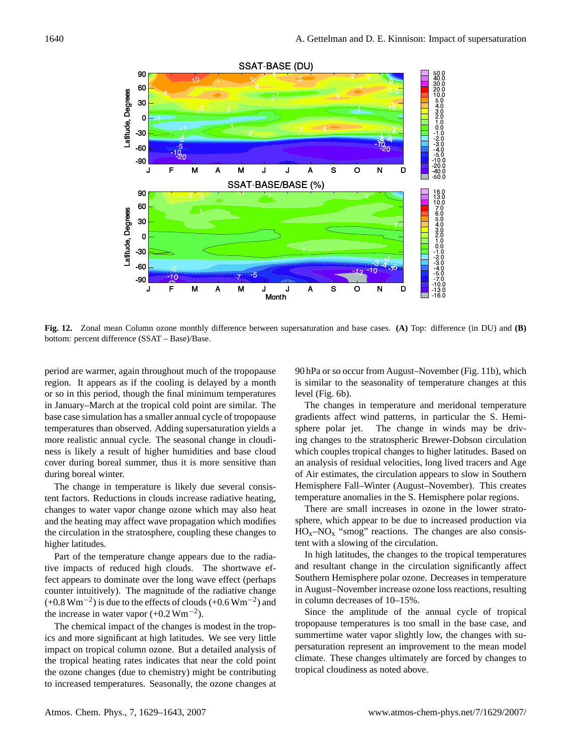

<span id="page-11-0"></span>**Fig. 12.** Zonal mean Column ozone monthly difference between supersaturation and base cases. **(A)** Top: difference (in DU) and **(B)** bottom: percent difference (SSAT – Base)/Base.

period are warmer, again throughout much of the tropopause region. It appears as if the cooling is delayed by a month or so in this period, though the final minimum temperatures in January–March at the tropical cold point are similar. The base case simulation has a smaller annual cycle of tropopause temperatures than observed. Adding supersaturation yields a more realistic annual cycle. The seasonal change in cloudiness is likely a result of higher humidities and base cloud cover during boreal summer, thus it is more sensitive than during boreal winter.

The change in temperature is likely due several consistent factors. Reductions in clouds increase radiative heating, changes to water vapor change ozone which may also heat and the heating may affect wave propagation which modifies the circulation in the stratosphere, coupling these changes to higher latitudes.

Part of the temperature change appears due to the radiative impacts of reduced high clouds. The shortwave effect appears to dominate over the long wave effect (perhaps counter intuitively). The magnitude of the radiative change  $(+0.8 \text{ Wm}^{-2})$  is due to the effects of clouds  $(+0.6 \text{ Wm}^{-2})$  and the increase in water vapor  $(+0.2 \text{ Wm}^{-2})$ .

The chemical impact of the changes is modest in the tropics and more significant at high latitudes. We see very little impact on tropical column ozone. But a detailed analysis of the tropical heating rates indicates that near the cold point the ozone changes (due to chemistry) might be contributing to increased temperatures. Seasonally, the ozone changes at

90 hPa or so occur from August–November (Fig. [11b](#page-10-1)), which is similar to the seasonality of temperature changes at this level (Fig. [6b](#page-7-0)).

The changes in temperature and meridonal temperature gradients affect wind patterns, in particular the S. Hemisphere polar jet. The change in winds may be driving changes to the stratospheric Brewer-Dobson circulation which couples tropical changes to higher latitudes. Based on an analysis of residual velocities, long lived tracers and Age of Air estimates, the circulation appears to slow in Southern Hemisphere Fall–Winter (August–November). This creates temperature anomalies in the S. Hemisphere polar regions.

There are small increases in ozone in the lower stratosphere, which appear to be due to increased production via  $HO<sub>x</sub>-NO<sub>x</sub>$  "smog" reactions. The changes are also consistent with a slowing of the circulation.

In high latitudes, the changes to the tropical temperatures and resultant change in the circulation significantly affect Southern Hemisphere polar ozone. Decreases in temperature in August–November increase ozone loss reactions, resulting in column decreases of 10–15%.

Since the amplitude of the annual cycle of tropical tropopause temperatures is too small in the base case, and summertime water vapor slightly low, the changes with supersaturation represent an improvement to the mean model climate. These changes ultimately are forced by changes to tropical cloudiness as noted above.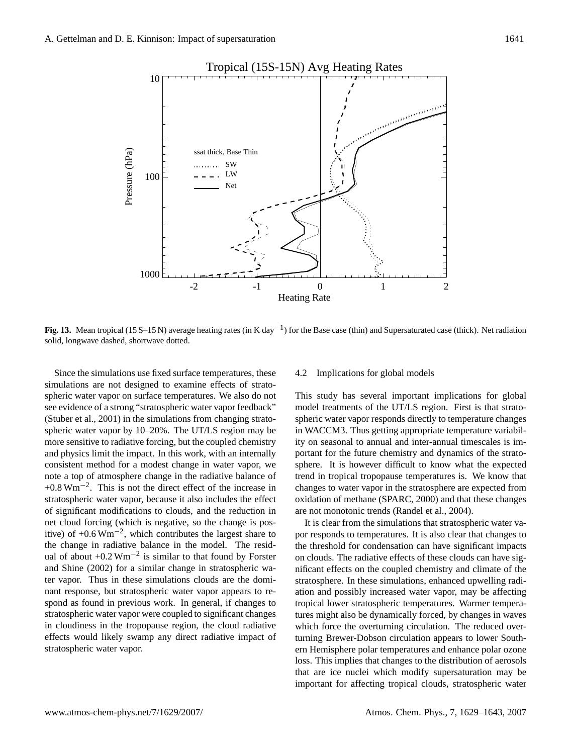

<span id="page-12-0"></span>**Fig. 13.** Mean tropical (15 S–15 N) average heating rates (in K day<sup>-1</sup>) for the Base case (thin) and Supersaturated case (thick). Net radiation solid, longwave dashed, shortwave dotted.

Since the simulations use fixed surface temperatures, these simulations are not designed to examine effects of stratospheric water vapor on surface temperatures. We also do not see evidence of a strong "stratospheric water vapor feedback" [\(Stuber et al.,](#page-14-6) [2001\)](#page-14-6) in the simulations from changing stratospheric water vapor by 10–20%. The UT/LS region may be more sensitive to radiative forcing, but the coupled chemistry and physics limit the impact. In this work, with an internally consistent method for a modest change in water vapor, we note a top of atmosphere change in the radiative balance of +0.8 Wm−<sup>2</sup> . This is not the direct effect of the increase in stratospheric water vapor, because it also includes the effect of significant modifications to clouds, and the reduction in net cloud forcing (which is negative, so the change is positive) of +0.6  $Wm^{-2}$ , which contributes the largest share to the change in radiative balance in the model. The residual of about  $+0.2 \text{ Wm}^{-2}$  is similar to that found by [Forster](#page-13-5) [and Shine](#page-13-5) [\(2002\)](#page-13-5) for a similar change in stratospheric water vapor. Thus in these simulations clouds are the dominant response, but stratospheric water vapor appears to respond as found in previous work. In general, if changes to stratospheric water vapor were coupled to significant changes in cloudiness in the tropopause region, the cloud radiative effects would likely swamp any direct radiative impact of stratospheric water vapor.

## 4.2 Implications for global models

This study has several important implications for global model treatments of the UT/LS region. First is that stratospheric water vapor responds directly to temperature changes in WACCM3. Thus getting appropriate temperature variability on seasonal to annual and inter-annual timescales is important for the future chemistry and dynamics of the stratosphere. It is however difficult to know what the expected trend in tropical tropopause temperatures is. We know that changes to water vapor in the stratosphere are expected from oxidation of methane [\(SPARC,](#page-14-19) [2000\)](#page-14-19) and that these changes are not monotonic trends [\(Randel et al.,](#page-14-22) [2004\)](#page-14-22).

It is clear from the simulations that stratospheric water vapor responds to temperatures. It is also clear that changes to the threshold for condensation can have significant impacts on clouds. The radiative effects of these clouds can have significant effects on the coupled chemistry and climate of the stratosphere. In these simulations, enhanced upwelling radiation and possibly increased water vapor, may be affecting tropical lower stratospheric temperatures. Warmer temperatures might also be dynamically forced, by changes in waves which force the overturning circulation. The reduced overturning Brewer-Dobson circulation appears to lower Southern Hemisphere polar temperatures and enhance polar ozone loss. This implies that changes to the distribution of aerosols that are ice nuclei which modify supersaturation may be important for affecting tropical clouds, stratospheric water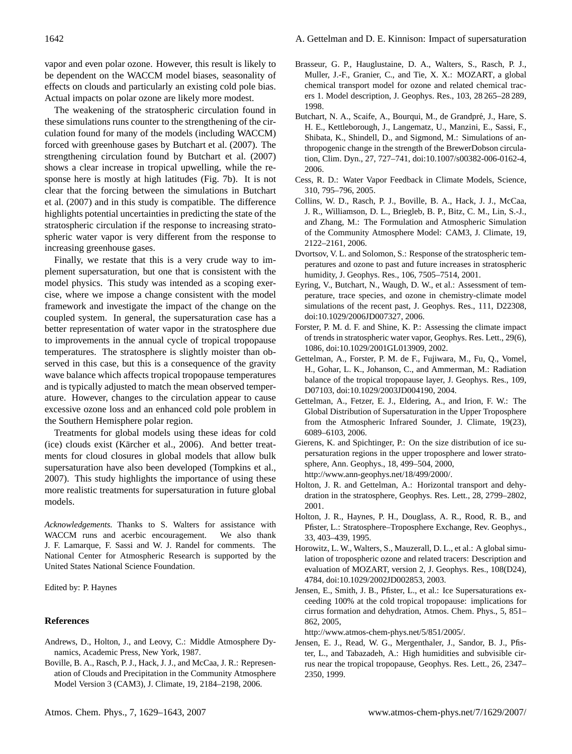vapor and even polar ozone. However, this result is likely to be dependent on the WACCM model biases, seasonality of effects on clouds and particularly an existing cold pole bias. Actual impacts on polar ozone are likely more modest.

The weakening of the stratospheric circulation found in these simulations runs counter to the strengthening of the circulation found for many of the models (including WACCM) forced with greenhouse gases by [Butchart et al.](#page-13-16) [\(2007\)](#page-13-16). The strengthening circulation found by [Butchart et al.](#page-13-16) [\(2007\)](#page-13-16) shows a clear increase in tropical upwelling, while the response here is mostly at high latitudes (Fig. [7b](#page-7-1)). It is not clear that the forcing between the simulations in [Butchart](#page-13-16) [et al.](#page-13-16) [\(2007\)](#page-13-16) and in this study is compatible. The difference highlights potential uncertainties in predicting the state of the stratospheric circulation if the response to increasing stratospheric water vapor is very different from the response to increasing greenhouse gases.

Finally, we restate that this is a very crude way to implement supersaturation, but one that is consistent with the model physics. This study was intended as a scoping exercise, where we impose a change consistent with the model framework and investigate the impact of the change on the coupled system. In general, the supersaturation case has a better representation of water vapor in the stratosphere due to improvements in the annual cycle of tropical tropopause temperatures. The stratosphere is slightly moister than observed in this case, but this is a consequence of the gravity wave balance which affects tropical tropopause temperatures and is typically adjusted to match the mean observed temperature. However, changes to the circulation appear to cause excessive ozone loss and an enhanced cold pole problem in the Southern Hemisphere polar region.

Treatments for global models using these ideas for cold (ice) clouds exist (Kärcher et al.,  $2006$ ). And better treatments for cloud closures in global models that allow bulk supersaturation have also been developed [\(Tompkins et al.,](#page-14-23) [2007\)](#page-14-23). This study highlights the importance of using these more realistic treatments for supersaturation in future global models.

*Acknowledgements.* Thanks to S. Walters for assistance with WACCM runs and acerbic encouragement. We also thank J. F. Lamarque, F. Sassi and W. J. Randel for comments. The National Center for Atmospheric Research is supported by the United States National Science Foundation.

Edited by: P. Haynes

## **References**

- <span id="page-13-13"></span>Andrews, D., Holton, J., and Leovy, C.: Middle Atmosphere Dynamics, Academic Press, New York, 1987.
- <span id="page-13-11"></span>Boville, B. A., Rasch, P. J., Hack, J. J., and McCaa, J. R.: Represenation of Clouds and Precipitation in the Community Atmosphere Model Version 3 (CAM3), J. Climate, 19, 2184–2198, 2006.
- <span id="page-13-9"></span>Brasseur, G. P., Hauglustaine, D. A., Walters, S., Rasch, P. J., Muller, J.-F., Granier, C., and Tie, X. X.: MOZART, a global chemical transport model for ozone and related chemical tracers 1. Model description, J. Geophys. Res., 103, 28 265–28 289, 1998.
- <span id="page-13-16"></span>Butchart, N. A., Scaife, A., Bourqui, M., de Grandpré, J., Hare, S. H. E., Kettleborough, J., Langematz, U., Manzini, E., Sassi, F., Shibata, K., Shindell, D., and Sigmond, M.: Simulations of anthropogenic change in the strength of the BrewerDobson circulation, Clim. Dyn., 27, 727–741, doi:10.1007/s00382-006-0162-4, 2006.
- <span id="page-13-4"></span>Cess, R. D.: Water Vapor Feedback in Climate Models, Science, 310, 795–796, 2005.
- <span id="page-13-8"></span>Collins, W. D., Rasch, P. J., Boville, B. A., Hack, J. J., McCaa, J. R., Williamson, D. L., Briegleb, B. P., Bitz, C. M., Lin, S.-J., and Zhang, M.: The Formulation and Atmospheric Simulation of the Community Atmosphere Model: CAM3, J. Climate, 19, 2122–2161, 2006.
- <span id="page-13-14"></span>Dvortsov, V. L. and Solomon, S.: Response of the stratospheric temperatures and ozone to past and future increases in stratospheric humidity, J. Geophys. Res., 106, 7505–7514, 2001.
- <span id="page-13-7"></span>Eyring, V., Butchart, N., Waugh, D. W., et al.: Assessment of temperature, trace species, and ozone in chemistry-climate model simulations of the recent past, J. Geophys. Res., 111, D22308, doi:10.1029/2006JD007327, 2006.
- <span id="page-13-5"></span>Forster, P. M. d. F. and Shine, K. P.: Assessing the climate impact of trends in stratospheric water vapor, Geophys. Res. Lett., 29(6), 1086, doi:10.1029/2001GL013909, 2002.
- <span id="page-13-15"></span>Gettelman, A., Forster, P. M. de F., Fujiwara, M., Fu, Q., Vomel, H., Gohar, L. K., Johanson, C., and Ammerman, M.: Radiation balance of the tropical tropopause layer, J. Geophys. Res., 109, D07103, doi:10.1029/2003JD004190, 2004.
- <span id="page-13-2"></span>Gettelman, A., Fetzer, E. J., Eldering, A., and Irion, F. W.: The Global Distribution of Supersaturation in the Upper Troposphere from the Atmospheric Infrared Sounder, J. Climate, 19(23), 6089–6103, 2006.
- <span id="page-13-6"></span>Gierens, K. and Spichtinger, P.: On the size distribution of ice supersaturation regions in the upper troposphere and lower stratosphere, Ann. Geophys., 18, 499–504, 2000, [http://www.ann-geophys.net/18/499/2000/.](http://www.ann-geophys.net/18/499/2000/)
- <span id="page-13-3"></span>Holton, J. R. and Gettelman, A.: Horizontal transport and dehydration in the stratosphere, Geophys. Res. Lett., 28, 2799–2802, 2001.
- <span id="page-13-12"></span>Holton, J. R., Haynes, P. H., Douglass, A. R., Rood, R. B., and Pfister, L.: Stratosphere–Troposphere Exchange, Rev. Geophys., 33, 403–439, 1995.
- <span id="page-13-10"></span>Horowitz, L. W., Walters, S., Mauzerall, D. L., et al.: A global simulation of tropospheric ozone and related tracers: Description and evaluation of MOZART, version 2, J. Geophys. Res., 108(D24), 4784, doi:10.1029/2002JD002853, 2003.
- <span id="page-13-0"></span>Jensen, E., Smith, J. B., Pfister, L., et al.: Ice Supersaturations exceeding 100% at the cold tropical tropopause: implications for cirrus formation and dehydration, Atmos. Chem. Phys., 5, 851– 862, 2005,

[http://www.atmos-chem-phys.net/5/851/2005/.](http://www.atmos-chem-phys.net/5/851/2005/)

<span id="page-13-1"></span>Jensen, E. J., Read, W. G., Mergenthaler, J., Sandor, B. J., Pfister, L., and Tabazadeh, A.: High humidities and subvisible cirrus near the tropical tropopause, Geophys. Res. Lett., 26, 2347– 2350, 1999.